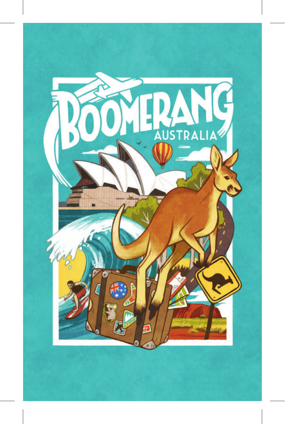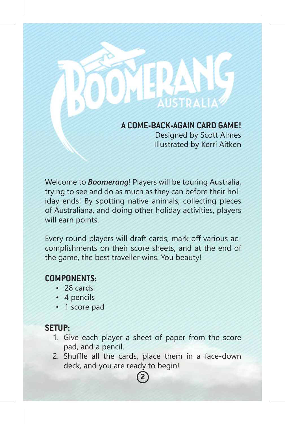# **A COME-BACK-AGAIN CARD GAME!**

Designed by Scott Almes Illustrated by Kerri Aitken

Welcome to *Boomerang*! Players will be touring Australia, trying to see and do as much as they can before their holiday ends! By spotting native animals, collecting pieces of Australiana, and doing other holiday activities, players will earn points.

Every round players will draft cards, mark off various accomplishments on their score sheets, and at the end of the game, the best traveller wins. You beauty!

# **COMPONENTS:**

- 28 cards
- 4 pencils
- 1 score pad

# **SETUP:**

- 1. Give each player a sheet of paper from the score pad, and a pencil.
- 2. Shuffle all the cards, place them in a face-down deck, and you are ready to begin! **2**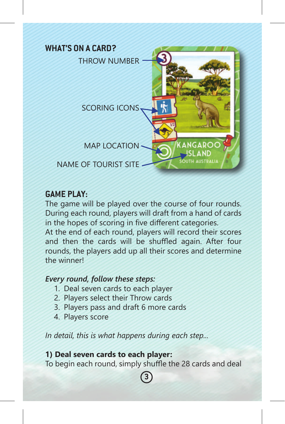

## **GAME PLAY:**

The game will be played over the course of four rounds. During each round, players will draft from a hand of cards in the hopes of scoring in five different categories. At the end of each round, players will record their scores and then the cards will be shuffled again. After four rounds, the players add up all their scores and determine the winner!

### *Every round, follow these steps:*

- 1. Deal seven cards to each player
- 2. Players select their Throw cards
- 3. Players pass and draft 6 more cards
- 4. Players score

*In detail, this is what happens during each step...*

## **1) Deal seven cards to each player:** To begin each round, simply shuffle the 28 cards and deal

**3**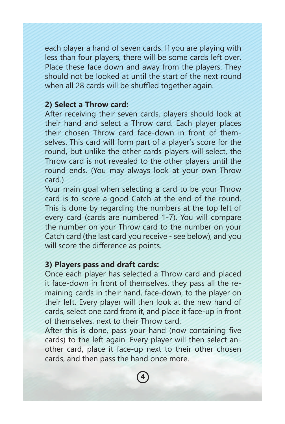each player a hand of seven cards. If you are playing with less than four players, there will be some cards left over. Place these face down and away from the players. They should not be looked at until the start of the next round when all 28 cards will be shuffled together again.

#### **2) Select a Throw card:**

After receiving their seven cards, players should look at their hand and select a Throw card. Each player places their chosen Throw card face-down in front of themselves. This card will form part of a player's score for the round, but unlike the other cards players will select, the Throw card is not revealed to the other players until the round ends. (You may always look at your own Throw card.)

Your main goal when selecting a card to be your Throw card is to score a good Catch at the end of the round. This is done by regarding the numbers at the top left of every card (cards are numbered 1-7). You will compare the number on your Throw card to the number on your Catch card (the last card you receive - see below), and you will score the difference as points.

## **3) Players pass and draft cards:**

Once each player has selected a Throw card and placed it face-down in front of themselves, they pass all the remaining cards in their hand, face-down, to the player on their left. Every player will then look at the new hand of cards, select one card from it, and place it face-up in front of themselves, next to their Throw card.

After this is done, pass your hand (now containing five cards) to the left again. Every player will then select another card, place it face-up next to their other chosen cards, and then pass the hand once more.

**4**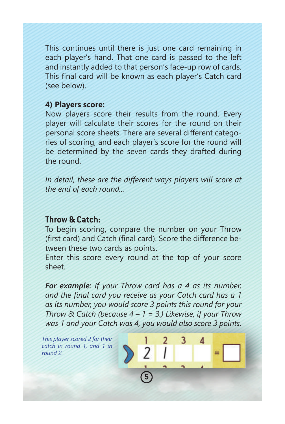This continues until there is just one card remaining in each player's hand. That one card is passed to the left and instantly added to that person's face-up row of cards. This final card will be known as each player's Catch card (see below).

#### **4) Players score:**

Now players score their results from the round. Every player will calculate their scores for the round on their personal score sheets. There are several different categories of scoring, and each player's score for the round will be determined by the seven cards they drafted during the round.

*In detail, these are the different ways players will score at the end of each round...*

## **Throw & Catch:**

To begin scoring, compare the number on your Throw (first card) and Catch (final card). Score the difference between these two cards as points.

Enter this score every round at the top of your score sheet.

*For example: If your Throw card has a 4 as its number, and the final card you receive as your Catch card has a 1 as its number, you would score 3 points this round for your Throw & Catch (because 4 – 1 = 3.) Likewise, if your Throw was 1 and your Catch was 4, you would also score 3 points.* 

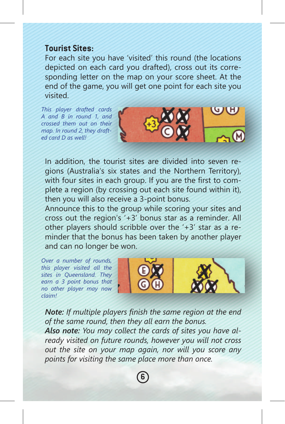### **Tourist Sites:**

For each site you have 'visited' this round (the locations depicted on each card you drafted), cross out its corresponding letter on the map on your score sheet. At the end of the game, you will get one point for each site you visited.

*This player drafted cards A and B in round 1, and crossed them out on their map. In round 2, they drafted card D as well!*



In addition, the tourist sites are divided into seven regions (Australia's six states and the Northern Territory), with four sites in each group. If you are the first to complete a region (by crossing out each site found within it), then you will also receive a 3-point bonus.

Announce this to the group while scoring your sites and cross out the region's '+3' bonus star as a reminder. All other players should scribble over the '+3' star as a reminder that the bonus has been taken by another player and can no longer be won.

*Over a number of rounds, this player visited all the sites in Queensland. They earn a 3 point bonus that no other player may now claim!*





*Note: If multiple players finish the same region at the end of the same round, then they all earn the bonus. Also note: You may collect the cards of sites you have already visited on future rounds, however you will not cross out the site on your map again, nor will you score any points for visiting the same place more than once.*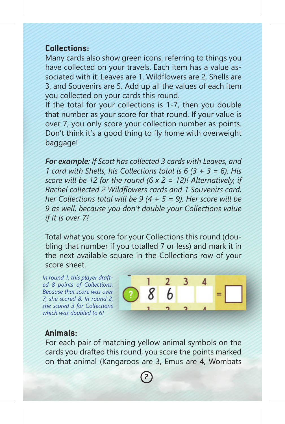### **Collections:**

Many cards also show green icons, referring to things you have collected on your travels. Each item has a value associated with it: Leaves are 1, Wildflowers are 2, Shells are 3, and Souvenirs are 5. Add up all the values of each item you collected on your cards this round.

If the total for your collections is 1-7, then you double that number as your score for that round. If your value is over 7, you only score your collection number as points. Don't think it's a good thing to fly home with overweight baggage!

*For example: If Scott has collected 3 cards with Leaves, and 1 card with Shells, his Collections total is 6 (3 + 3 = 6). His score will be 12 for the round (6 x 2 = 12)! Alternatively, if Rachel collected 2 Wildflowers cards and 1 Souvenirs card, her Collections total will be 9 (4 + 5 = 9). Her score will be 9 as well, because you don't double your Collections value if it is over 7!*

Total what you score for your Collections this round (doubling that number if you totalled 7 or less) and mark it in the next available square in the Collections row of your score sheet.

*In round 1, this player drafted 8 points of Collections. Because that score was over 7, she scored 8. In round 2, she scored 3 for Collections which was doubled to 6!*



## **Animals:**

For each pair of matching yellow animal symbols on the cards you drafted this round, you score the points marked on that animal (Kangaroos are 3, Emus are 4, Wombats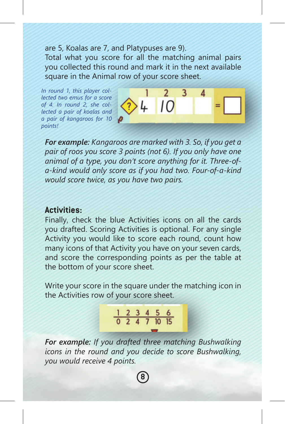are 5, Koalas are 7, and Platypuses are 9). Total what you score for all the matching animal pairs you collected this round and mark it in the next available square in the Animal row of your score sheet.

*In round 1, this player collected two emus for a score of 4. In round 2, she collected a pair of koalas and a pair of kangaroos for 10 points!*

 $\overline{2}$ 3 4  $10$ 

*For example: Kangaroos are marked with 3. So, if you get a pair of roos you score 3 points (not 6). If you only have one animal of a type, you don't score anything for it. Three-ofa-kind would only score as if you had two. Four-of-a-kind would score twice, as you have two pairs.*

### **Activities:**

Finally, check the blue Activities icons on all the cards you drafted. Scoring Activities is optional. For any single Activity you would like to score each round, count how many icons of that Activity you have on your seven cards, and score the corresponding points as per the table at the bottom of your score sheet.

Write your score in the square under the matching icon in the Activities row of your score sheet.

$$
\begin{array}{c|cccc}\n1 & 2 & 3 & 4 & 5 & 6 \\
\hline\n0 & 2 & 4 & 7 & 10 & 15\n\end{array}
$$

*For example: If you drafted three matching Bushwalking icons in the round and you decide to score Bushwalking, you would receive 4 points.*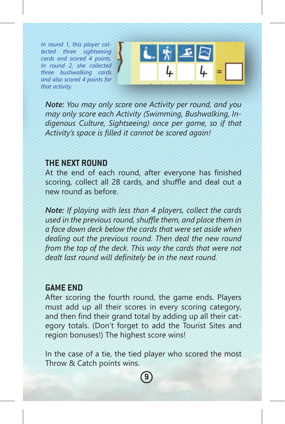*In round 1, this player collected three sightseeing cards and scored 4 points. In round 2, she collected three bushwalking cards and also scored 4 points for that activity.*



*Note: You may only score one Activity per round, and you may only score each Activity (Swimming, Bushwalking, Indigenous Culture, Sightseeing) once per game, so if that Activity's space is filled it cannot be scored again!*

## **THE NEXT ROUND**

At the end of each round, after everyone has finished scoring, collect all 28 cards, and shuffle and deal out a new round as before.

*Note: If playing with less than 4 players, collect the cards used in the previous round, shuffle them, and place them in a face down deck below the cards that were set aside when dealing out the previous round. Then deal the new round from the top of the deck. This way the cards that were not dealt last round will definitely be in the next round.*

## **GAME END**

After scoring the fourth round, the game ends. Players must add up all their scores in every scoring category, and then find their grand total by adding up all their category totals. (Don't forget to add the Tourist Sites and region bonuses!) The highest score wins!

In the case of a tie, the tied player who scored the most Throw & Catch points wins.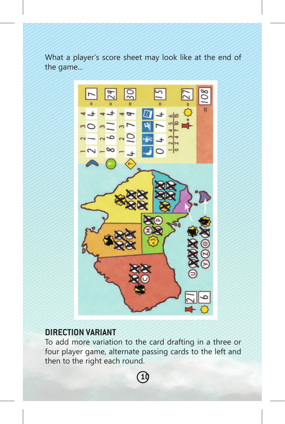What a player's score sheet may look like at the end of the game...



## **DIRECTION VARIANT**

To add more variation to the card drafting in a three or four player game, alternate passing cards to the left and then to the right each round.

**10**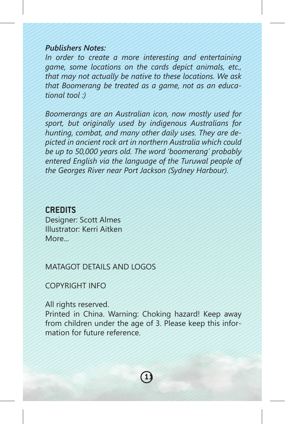#### *Publishers Notes:*

*In order to create a more interesting and entertaining game, some locations on the cards depict animals, etc., that may not actually be native to these locations. We ask that Boomerang be treated as a game, not as an educational tool :)*

*Boomerangs are an Australian icon, now mostly used for sport, but originally used by indigenous Australians for hunting, combat, and many other daily uses. They are depicted in ancient rock art in northern Australia which could be up to 50,000 years old. The word 'boomerang' probably entered English via the language of the Turuwal people of the Georges River near Port Jackson (Sydney Harbour).*

#### **CREDITS**

Designer: Scott Almes Illustrator: Kerri Aitken More

MATAGOT DETAILS AND LOGOS

#### COPYRIGHT INFO

All rights reserved.

Printed in China. Warning: Choking hazard! Keep away from children under the age of 3. Please keep this information for future reference.